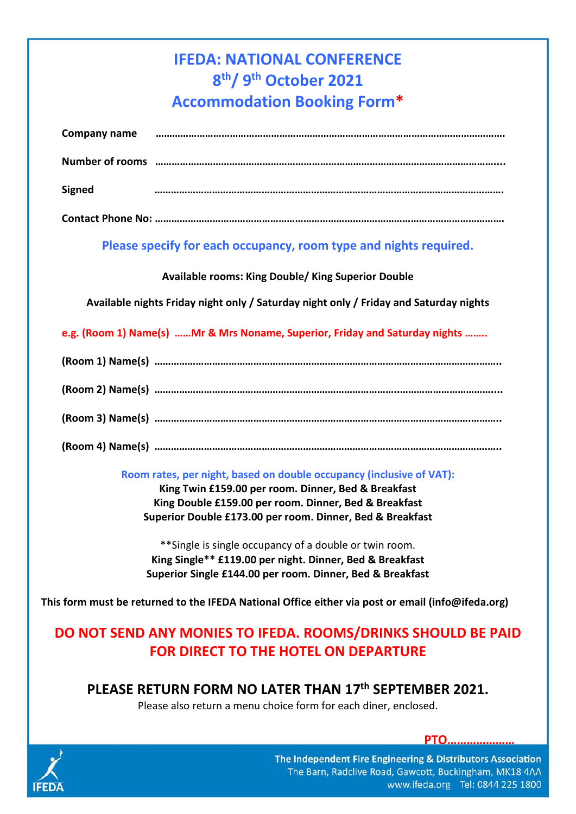# **IFEDA: NATIONAL CONFERENCE 8th/ 9th October 2021 Accommodation Booking Form\***

| Company name  |  |
|---------------|--|
|               |  |
| <b>Signed</b> |  |
|               |  |

### **Please specify for each occupancy, room type and nights required.**

#### **Available rooms: King Double/ King Superior Double**

**Available nights Friday night only / Saturday night only / Friday and Saturday nights**

**e.g. (Room 1) Name(s) ……Mr & Mrs Noname, Superior, Friday and Saturday nights ……..**

#### **Room rates, per night, based on double occupancy (inclusive of VAT):**

**King Twin £159.00 per room. Dinner, Bed & Breakfast King Double £159.00 per room. Dinner, Bed & Breakfast Superior Double £173.00 per room. Dinner, Bed & Breakfast**

\*\*Single is single occupancy of a double or twin room. **King Single\*\* £119.00 per night. Dinner, Bed & Breakfast Superior Single £144.00 per room. Dinner, Bed & Breakfast**

**This form must be returned to the IFEDA National Office either via post or email (info@ifeda.org)** 

## **DO NOT SEND ANY MONIES TO IFEDA. ROOMS/DRINKS SHOULD BE PAID FOR DIRECT TO THE HOTEL ON DEPARTURE**

### **PLEASE RETURN FORM NO LATER THAN 17th SEPTEMBER 2021.**

Please also return a menu choice form for each diner, enclosed.



**PTO…………………**

The Independent Fire Engineering & Distributors Association The Barn, Radclive Road, Gawcott, Buckingham, MK18 4AA www.ifeda.org Tel: 0844 225 1800